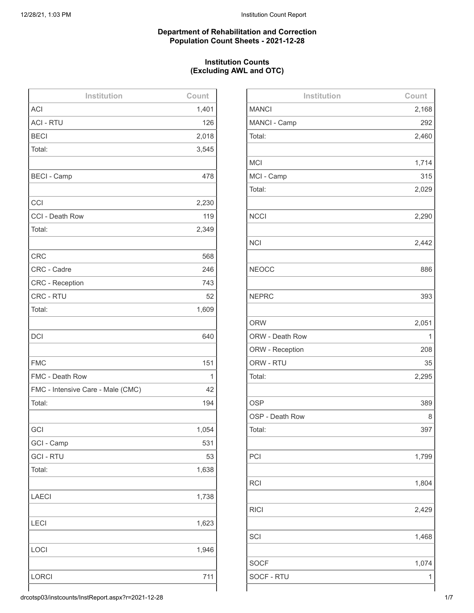#### **Department of Rehabilitation and Correction Population Count Sheets - 2021-12-28**

# **Institution Counts (Excluding AWL and OTC)**

| Institution                       | Count |
|-----------------------------------|-------|
| <b>ACI</b>                        | 1,401 |
| <b>ACI - RTU</b>                  | 126   |
| <b>BECI</b>                       | 2,018 |
| Total:                            | 3,545 |
|                                   |       |
| <b>BECI - Camp</b>                | 478   |
|                                   |       |
| CCI                               | 2,230 |
| CCI - Death Row                   | 119   |
| Total:                            | 2,349 |
|                                   |       |
| <b>CRC</b>                        | 568   |
| CRC - Cadre                       | 246   |
| <b>CRC</b> - Reception            | 743   |
| CRC - RTU                         | 52    |
| Total:                            | 1,609 |
|                                   |       |
| <b>DCI</b>                        | 640   |
|                                   |       |
| <b>FMC</b>                        | 151   |
| FMC - Death Row                   | 1     |
| FMC - Intensive Care - Male (CMC) | 42    |
| Total:                            | 194   |
|                                   |       |
| GCI                               | 1,054 |
| GCI - Camp                        | 531   |
| <b>GCI-RTU</b>                    | 53    |
| Total:                            | 1,638 |
|                                   |       |
| <b>LAECI</b>                      | 1,738 |
|                                   |       |
| <b>LECI</b>                       | 1,623 |
|                                   |       |
| <b>LOCI</b>                       | 1,946 |
|                                   |       |
| <b>LORCI</b>                      | 711   |
|                                   |       |

| Institution     | Count |
|-----------------|-------|
| <b>MANCI</b>    | 2,168 |
| MANCI - Camp    | 292   |
| Total:          | 2,460 |
|                 |       |
| <b>MCI</b>      | 1,714 |
| MCI - Camp      | 315   |
| Total:          | 2,029 |
|                 |       |
| <b>NCCI</b>     | 2,290 |
|                 |       |
| <b>NCI</b>      | 2,442 |
|                 |       |
| <b>NEOCC</b>    | 886   |
|                 |       |
| <b>NEPRC</b>    | 393   |
|                 |       |
| <b>ORW</b>      | 2,051 |
| ORW - Death Row | 1     |
| ORW - Reception | 208   |
| ORW - RTU       | 35    |
| Total:          | 2,295 |
|                 |       |
| <b>OSP</b>      | 389   |
| OSP - Death Row | 8     |
| Total:          | 397   |
|                 |       |
| PCI             | 1,799 |
|                 |       |
| <b>RCI</b>      | 1,804 |
|                 |       |
| <b>RICI</b>     | 2,429 |
|                 |       |
| SCI             | 1,468 |
|                 |       |
| <b>SOCF</b>     | 1,074 |
| SOCF - RTU      | 1     |
|                 |       |

drcotsp03/instcounts/InstReport.aspx?r=2021-12-28 1/7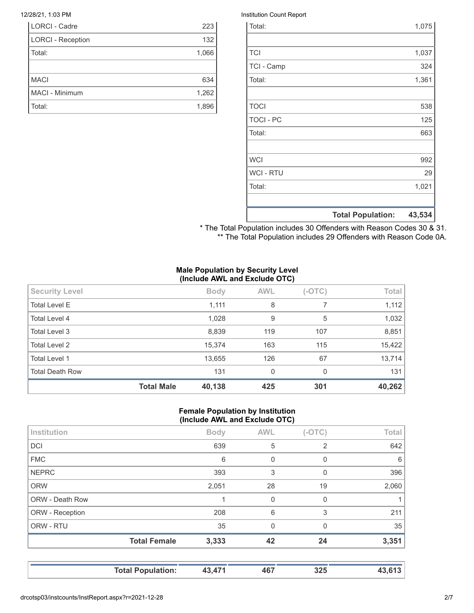| <b>LORCI - Cadre</b>     | 223   |
|--------------------------|-------|
| <b>LORCI - Reception</b> | 132   |
| Total:                   | 1,066 |
|                          |       |
| <b>MACI</b>              | 634   |
| MACI - Minimum           | 1,262 |
| Total:                   | 1,896 |

#### 12/28/21, 1:03 PM **Institution Count Report**

|                  | <b>Total Population:</b> | 43,534 |
|------------------|--------------------------|--------|
|                  |                          |        |
| Total:           |                          | 1,021  |
| <b>WCI - RTU</b> |                          | 29     |
| <b>WCI</b>       |                          | 992    |
|                  |                          |        |
| Total:           |                          | 663    |
| <b>TOCI - PC</b> |                          | 125    |
| <b>TOCI</b>      |                          | 538    |
|                  |                          |        |
| Total:           |                          | 1,361  |
| TCI - Camp       |                          | 324    |
| <b>TCI</b>       |                          | 1,037  |
|                  |                          |        |
| Total:           |                          | 1,075  |

\* The Total Population includes 30 Offenders with Reason Codes 30 & 31. \*\* The Total Population includes 29 Offenders with Reason Code 0A.

# **Male Population by Security Level (Include AWL and Exclude OTC)**

|                        | <b>Total Male</b> | 40,138      | 425          | 301      | 40,262 |
|------------------------|-------------------|-------------|--------------|----------|--------|
| <b>Total Death Row</b> |                   | 131         | $\mathbf{0}$ | 0        | 131    |
| Total Level 1          |                   | 13,655      | 126          | 67       | 13,714 |
| Total Level 2          |                   | 15,374      | 163          | 115      | 15,422 |
| Total Level 3          |                   | 8,839       | 119          | 107      | 8,851  |
| Total Level 4          |                   | 1,028       | 9            | 5        | 1,032  |
| <b>Total Level E</b>   |                   | 1,111       | 8            |          | 1,112  |
| <b>Security Level</b>  |                   | <b>Body</b> | <b>AWL</b>   | $(-OTC)$ | Total  |
|                        |                   |             |              |          |        |

# **Female Population by Institution (Include AWL and Exclude OTC)**

|                        | <b>Total Female</b> | 3,333       | 42          | 24             | 3,351 |
|------------------------|---------------------|-------------|-------------|----------------|-------|
| ORW - RTU              |                     | 35          | $\Omega$    | $\Omega$       | 35    |
| ORW - Reception        |                     | 208         | 6           | 3              | 211   |
| <b>ORW - Death Row</b> |                     |             | $\Omega$    | 0              |       |
| <b>ORW</b>             |                     | 2,051       | 28          | 19             | 2,060 |
| <b>NEPRC</b>           |                     | 393         | 3           | 0              | 396   |
| <b>FMC</b>             |                     | 6           | $\mathbf 0$ | 0              | 6     |
| DCI                    |                     | 639         | 5           | $\overline{2}$ | 642   |
| Institution            |                     | <b>Body</b> | <b>AWL</b>  | $(-OTC)$       | Total |
|                        |                     |             |             |                |       |

| <b>Total Population:</b> | 43,471 | 467 | 325 | 43,613 |
|--------------------------|--------|-----|-----|--------|
|--------------------------|--------|-----|-----|--------|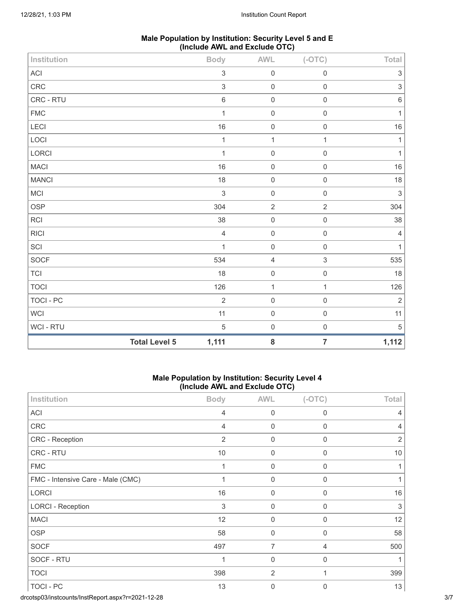| Male Population by Institution: Security Level 5 and E |
|--------------------------------------------------------|
| (Include AWL and Exclude OTC)                          |

| Institution                 |                      | <b>Body</b>               | $\mathsf{AWL}\xspace$ | $(-OTC)$            | Total                     |
|-----------------------------|----------------------|---------------------------|-----------------------|---------------------|---------------------------|
| ACI                         |                      | $\ensuremath{\mathsf{3}}$ | $\mathbf 0$           | $\mathbf 0$         | $\ensuremath{\mathsf{3}}$ |
| CRC                         |                      | $\sqrt{3}$                | $\mbox{O}$            | $\mathbf 0$         | $\ensuremath{\mathsf{3}}$ |
| CRC - RTU                   |                      | $\,6\,$                   | $\mathbf 0$           | $\mathbf 0$         | $\,6\,$                   |
| ${\sf FMC}$                 |                      | $\mathbf{1}$              | $\mathbf 0$           | $\mathbf 0$         | $\mathbf{1}$              |
| LECI                        |                      | 16                        | $\mathbf 0$           | $\mathbf 0$         | $16\,$                    |
| LOCI                        |                      | $\mathbf{1}$              | $\mathbf{1}$          | $\mathbf{1}$        | $\mathbf{1}$              |
| LORCI                       |                      | $\mathbf{1}$              | $\mathbf 0$           | $\mathbf 0$         | $\mathbf{1}$              |
| <b>MACI</b>                 |                      | 16                        | $\mathbf 0$           | $\mathbf 0$         | $16\,$                    |
| <b>MANCI</b>                |                      | 18                        | $\mathbf 0$           | $\mathbf 0$         | $18\,$                    |
| MCI                         |                      | $\sqrt{3}$                | $\mathbf 0$           | $\mathbf 0$         | $\sqrt{3}$                |
| OSP                         |                      | 304                       | $\sqrt{2}$            | $\sqrt{2}$          | 304                       |
| <b>RCI</b>                  |                      | 38                        | $\mathsf{O}\xspace$   | $\mathbf 0$         | $38\,$                    |
| <b>RICI</b>                 |                      | $\sqrt{4}$                | $\mathbf 0$           | $\mathsf{O}\xspace$ | $\overline{4}$            |
| $\ensuremath{\mathsf{SCI}}$ |                      | $\mathbf{1}$              | $\mbox{O}$            | $\mathbf 0$         | $\mathbf{1}$              |
| SOCF                        |                      | 534                       | $\sqrt{4}$            | $\sqrt{3}$          | 535                       |
| <b>TCI</b>                  |                      | 18                        | $\mathsf{O}\xspace$   | $\mathsf{O}\xspace$ | 18                        |
| <b>TOCI</b>                 |                      | 126                       | $\mathbf{1}$          | $\mathbf{1}$        | 126                       |
| <b>TOCI - PC</b>            |                      | $\overline{2}$            | $\mathbf 0$           | $\mathbf 0$         | $\mathbf 2$               |
| WCI                         |                      | 11                        | $\mathbf 0$           | $\mathbf 0$         | 11                        |
| WCI - RTU                   |                      | $\sqrt{5}$                | $\mathsf{O}\xspace$   | $\mathbf 0$         | $\,$ 5 $\,$               |
|                             | <b>Total Level 5</b> | 1,111                     | ${\bf 8}$             | $\overline{7}$      | 1,112                     |

# **Male Population by Institution: Security Level 4 (Include AWL and Exclude OTC)**

| Institution                       | <b>Body</b>               | <b>AWL</b>       | $(-OTC)$       | Total          |
|-----------------------------------|---------------------------|------------------|----------------|----------------|
| ACI                               | $\overline{4}$            | $\boldsymbol{0}$ | 0              | $\overline{4}$ |
| CRC                               | 4                         | 0                | 0              | $\overline{4}$ |
| CRC - Reception                   | $\overline{2}$            | 0                | 0              | $\overline{2}$ |
| CRC - RTU                         | 10                        | 0                | 0              | 10             |
| <b>FMC</b>                        | 1                         | 0                | 0              | 1              |
| FMC - Intensive Care - Male (CMC) |                           | 0                | 0              |                |
| <b>LORCI</b>                      | 16                        | 0                | 0              | 16             |
| <b>LORCI - Reception</b>          | $\ensuremath{\mathsf{3}}$ | 0                | 0              | 3              |
| <b>MACI</b>                       | 12                        | $\mathbf 0$      | 0              | 12             |
| <b>OSP</b>                        | 58                        | 0                | 0              | 58             |
| <b>SOCF</b>                       | 497                       | $\overline{7}$   | $\overline{4}$ | 500            |
| SOCF - RTU                        | 1                         | 0                | 0              |                |
| <b>TOCI</b>                       | 398                       | $\overline{2}$   | 1              | 399            |
| TOCI - PC                         | 13                        | $\mathbf 0$      | 0              | 13             |

drcotsp03/instcounts/InstReport.aspx?r=2021-12-28 3/7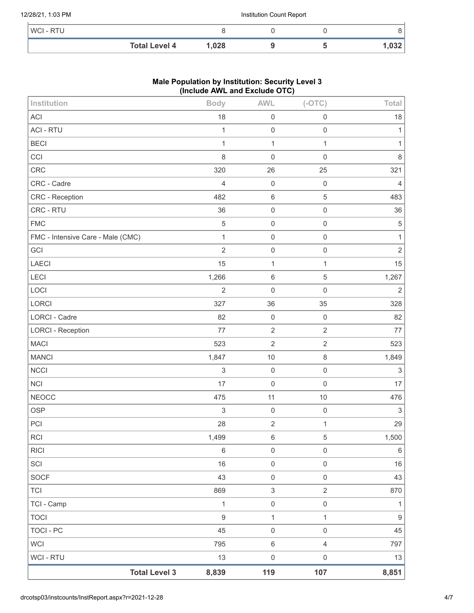# 12/28/21, 1:03 PM **Institution Count Report**

| <b>WCI-RTU</b> |                      |       |  |      |
|----------------|----------------------|-------|--|------|
|                | <b>Total Level 4</b> | 1,028 |  | .032 |

# **Male Population by Institution: Security Level 3 (Include AWL and Exclude OTC)**

| <b>Total Level 3</b>              | 8,839            | 119               | 107                 | 8,851            |
|-----------------------------------|------------------|-------------------|---------------------|------------------|
| WCI - RTU                         | 13               | $\mathbf 0$       | $\mathsf{O}\xspace$ | 13               |
| <b>WCI</b>                        | 795              | $\,6\,$           | $\overline{4}$      | 797              |
| <b>TOCI - PC</b>                  | 45               | $\mathbf 0$       | $\mathsf{O}\xspace$ | 45               |
| <b>TOCI</b>                       | $\boldsymbol{9}$ | $\mathbf{1}$      | $\mathbf{1}$        | $\boldsymbol{9}$ |
| TCI - Camp                        | $\mathbf 1$      | $\mathsf 0$       | $\mathsf{O}\xspace$ | $\mathbf{1}$     |
| <b>TCI</b>                        | 869              | $\mathfrak{S}$    | $\overline{2}$      | 870              |
| SOCF                              | 43               | $\mathbf 0$       | $\mathsf{O}\xspace$ | 43               |
| SCI                               | 16               | $\mathbf 0$       | $\mathsf{O}\xspace$ | 16               |
| <b>RICI</b>                       | $\,6\,$          | $\mathsf 0$       | $\mathsf{O}\xspace$ | $\,6\,$          |
| <b>RCI</b>                        | 1,499            | $\,6$             | $\sqrt{5}$          | 1,500            |
| PCI                               | 28               | $\sqrt{2}$        | $\mathbf{1}$        | 29               |
| <b>OSP</b>                        | 3                | $\mathbf 0$       | $\mathsf{O}\xspace$ | $\sqrt{3}$       |
| <b>NEOCC</b>                      | 475              | 11                | $10$                | 476              |
| <b>NCI</b>                        | 17               | $\mathbf 0$       | $\mathsf{O}\xspace$ | 17               |
| <b>NCCI</b>                       | 3                | $\mathbf 0$       | $\mathsf{O}\xspace$ | $\sqrt{3}$       |
| <b>MANCI</b>                      | 1,847            | $10$              | 8                   | 1,849            |
| <b>MACI</b>                       | 523              | $\sqrt{2}$        | $\overline{2}$      | 523              |
| <b>LORCI - Reception</b>          | 77               | $\sqrt{2}$        | $\sqrt{2}$          | 77               |
| LORCI<br><b>LORCI - Cadre</b>     | 327<br>82        | 36<br>$\mathbf 0$ | 35<br>$\mathsf 0$   | 328<br>82        |
| LOCI                              | $\overline{2}$   | $\mathbf 0$       | $\mathsf{O}\xspace$ | $\overline{2}$   |
| LECI                              | 1,266            | $\,6$             | $\mathbf 5$         | 1,267            |
| LAECI                             | 15               | $\mathbf{1}$      | $\mathbf{1}$        | 15               |
| GCI                               | $\overline{2}$   | $\mathbf 0$       | $\mathsf 0$         | $\sqrt{2}$       |
| FMC - Intensive Care - Male (CMC) | $\mathbf{1}$     | $\mathbf 0$       | $\mathsf{O}\xspace$ | 1                |
| <b>FMC</b>                        | 5                | $\mathbf 0$       | $\mathsf{O}\xspace$ | 5                |
| CRC - RTU                         | 36               | $\mathbf 0$       | $\mathsf{O}\xspace$ | 36               |
| CRC - Reception                   | 482              | $\,6\,$           | $\sqrt{5}$          | 483              |
| CRC - Cadre                       | 4                | $\mathbf 0$       | $\mathsf{O}\xspace$ | $\overline{4}$   |
| <b>CRC</b>                        | 320              | 26                | 25                  | 321              |
| CCI                               | 8                | $\mathbf 0$       | $\mathsf{O}\xspace$ | 8                |
| <b>BECI</b>                       | $\mathbf{1}$     | $\mathbf{1}$      | $\mathbf{1}$        | 1                |
| <b>ACI - RTU</b>                  | 1                | $\mathbf 0$       | $\mathsf{O}\xspace$ | 1                |
| <b>ACI</b>                        | 18               | $\mathbf 0$       | $\mathsf 0$         | 18               |
| Institution                       | <b>Body</b>      | <b>AWL</b>        | $(-OTC)$            | Total            |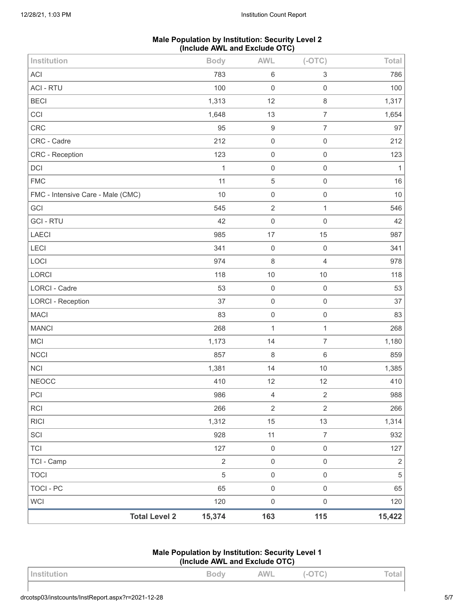# **Male Population by Institution: Security Level 2 (Include AWL and Exclude OTC)**

| Institution                       |                      | <b>Body</b>    | <b>AWL</b>          | $(-OTC)$            | Total          |
|-----------------------------------|----------------------|----------------|---------------------|---------------------|----------------|
| <b>ACI</b>                        |                      | 783            | $\,6\,$             | 3                   | 786            |
| <b>ACI - RTU</b>                  |                      | 100            | $\mathbf 0$         | $\mathsf{O}\xspace$ | 100            |
| <b>BECI</b>                       |                      | 1,313          | 12                  | 8                   | 1,317          |
| CCI                               |                      | 1,648          | 13                  | $\overline{7}$      | 1,654          |
| <b>CRC</b>                        |                      | 95             | $\boldsymbol{9}$    | $\overline{7}$      | 97             |
| CRC - Cadre                       |                      | 212            | $\mathbf 0$         | $\mathsf{O}\xspace$ | 212            |
| CRC - Reception                   |                      | 123            | $\mathbf 0$         | $\mathsf{O}\xspace$ | 123            |
| DCI                               |                      | 1              | $\mathbf 0$         | $\mathsf{O}\xspace$ | 1              |
| <b>FMC</b>                        |                      | 11             | $\mathbf 5$         | $\mathsf{O}\xspace$ | 16             |
| FMC - Intensive Care - Male (CMC) |                      | 10             | $\mathbf 0$         | $\mathsf 0$         | 10             |
| GCI                               |                      | 545            | $\sqrt{2}$          | $\mathbf{1}$        | 546            |
| <b>GCI-RTU</b>                    |                      | 42             | $\mathbf 0$         | $\mathsf{O}\xspace$ | 42             |
| LAECI                             |                      | 985            | 17                  | 15                  | 987            |
| LECI                              |                      | 341            | $\mathbf 0$         | $\mathsf{O}\xspace$ | 341            |
| LOCI                              |                      | 974            | 8                   | $\overline{4}$      | 978            |
| LORCI                             |                      | 118            | 10                  | 10                  | 118            |
| LORCI - Cadre                     |                      | 53             | $\mathbf 0$         | $\mathsf{O}\xspace$ | 53             |
| <b>LORCI - Reception</b>          |                      | 37             | $\mathbf 0$         | $\mathsf{O}\xspace$ | 37             |
| <b>MACI</b>                       |                      | 83             | $\mathbf 0$         | $\mathsf{O}\xspace$ | 83             |
| <b>MANCI</b>                      |                      | 268            | $\mathbf{1}$        | $\mathbf{1}$        | 268            |
| MCI                               |                      | 1,173          | 14                  | $\overline{7}$      | 1,180          |
| <b>NCCI</b>                       |                      | 857            | 8                   | 6                   | 859            |
| <b>NCI</b>                        |                      | 1,381          | 14                  | 10                  | 1,385          |
| <b>NEOCC</b>                      |                      | 410            | 12                  | 12                  | 410            |
| PCI                               |                      | 986            | $\overline{4}$      | $\sqrt{2}$          | 988            |
| <b>RCI</b>                        |                      | 266            | $\sqrt{2}$          | $\overline{2}$      | 266            |
| <b>RICI</b>                       |                      | 1,312          | 15                  | 13                  | 1,314          |
| SCI                               |                      | 928            | 11                  | $\overline{7}$      | 932            |
| <b>TCI</b>                        |                      | 127            | $\mathbf 0$         | $\mathsf{O}\xspace$ | 127            |
| TCI - Camp                        |                      | $\overline{2}$ | $\mathbf 0$         | $\mathsf{O}\xspace$ | $\sqrt{2}$     |
| <b>TOCI</b>                       |                      | 5              | $\mathbf 0$         | $\mathsf 0$         | $\overline{5}$ |
| <b>TOCI - PC</b>                  |                      | 65             | $\mathsf{O}\xspace$ | $\mathsf{O}\xspace$ | 65             |
| <b>WCI</b>                        |                      | 120            | $\mathsf 0$         | $\mathsf{O}\xspace$ | 120            |
|                                   | <b>Total Level 2</b> | 15,374         | 163                 | 115                 | 15,422         |

# **Male Population by Institution: Security Level 1 (Include AWL and Exclude OTC)**

| Institution | <b>Body</b> | AWL | $(-OTC)$ | Total |
|-------------|-------------|-----|----------|-------|
|             |             |     |          |       |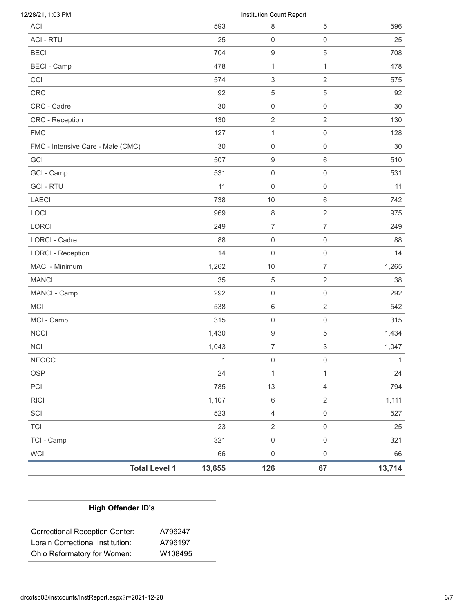| <b>Total Level 1</b>              | 13,655 | 126                           | 67                  | 13,714 |
|-----------------------------------|--------|-------------------------------|---------------------|--------|
| <b>WCI</b>                        | 66     | $\mathsf 0$                   | $\mathsf 0$         | 66     |
| TCI - Camp                        | 321    | $\mathsf{O}\xspace$           | $\mathsf{O}\xspace$ | 321    |
| <b>TCI</b>                        | 23     | $\overline{2}$                | $\mathsf 0$         | 25     |
| SCI                               | 523    | $\overline{4}$                | $\mathsf 0$         | 527    |
| <b>RICI</b>                       | 1,107  | $\,6\,$                       | $\sqrt{2}$          | 1,111  |
| PCI                               | 785    | 13                            | $\overline{4}$      | 794    |
| <b>OSP</b>                        | 24     | $\mathbf{1}$                  | $\mathbf{1}$        | 24     |
| <b>NEOCC</b>                      | 1      | $\mathbf 0$                   | $\mathbf 0$         | 1      |
| <b>NCI</b>                        | 1,043  | $\overline{7}$                | 3                   | 1,047  |
| <b>NCCI</b>                       | 1,430  | $\boldsymbol{9}$              | 5                   | 1,434  |
| MCI - Camp                        | 315    | $\mathsf{O}\xspace$           | $\mathsf{O}\xspace$ | 315    |
| <b>MCI</b>                        | 538    | $\,6\,$                       | $\overline{2}$      | 542    |
| MANCI - Camp                      | 292    | $\mathsf{O}\xspace$           | $\mathsf{O}\xspace$ | 292    |
| <b>MANCI</b>                      | 35     | $\,$ 5 $\,$                   | $\overline{2}$      | 38     |
| MACI - Minimum                    | 1,262  | 10                            | $\overline{7}$      | 1,265  |
| <b>LORCI - Reception</b>          | 14     | $\mathsf{O}\xspace$           | $\mathsf{O}\xspace$ | 14     |
| <b>LORCI - Cadre</b>              | 88     | $\mathsf{O}\xspace$           | $\mathsf 0$         | 88     |
| <b>LORCI</b>                      | 249    | $\overline{7}$                | $\overline{7}$      | 249    |
| LOCI                              | 969    | $\,8\,$                       | $\overline{2}$      | 975    |
| <b>LAECI</b>                      | 738    | 10                            | $\,6\,$             | 742    |
| <b>GCI-RTU</b>                    | 11     | $\mathsf{O}\xspace$           | $\mathsf{O}\xspace$ | 11     |
| GCI - Camp                        | 531    | $\mathsf{O}\xspace$           | $\mathsf{O}\xspace$ | 531    |
| <b>GCI</b>                        | 507    | $\boldsymbol{9}$              | $\,6\,$             | 510    |
| FMC - Intensive Care - Male (CMC) | 30     | $\mathsf{O}\xspace$           | $\mathsf{O}\xspace$ | 30     |
| <b>FMC</b>                        | 127    | $\mathbf{1}$                  | $\mathsf{O}\xspace$ | 128    |
| CRC - Reception                   | 130    | $\overline{2}$                | $\overline{2}$      | 130    |
| CRC - Cadre                       | 30     | $\mathsf{O}\xspace$           | $\mathsf{O}\xspace$ | 30     |
| <b>CRC</b>                        | 92     | 5                             | $\sqrt{5}$          | 92     |
| CCI                               | 574    | $\,$ 3 $\,$                   | $\overline{2}$      | 575    |
| <b>BECI - Camp</b>                | 478    | 1                             | 1                   | 478    |
| <b>BECI</b>                       | 704    | $\boldsymbol{9}$              | $\,$ 5 $\,$         | 708    |
| <b>ACI - RTU</b>                  | 25     | $\mathsf{O}\xspace$           | $\mathsf{O}\xspace$ | 25     |
| 12/28/21, 1:03 PM<br><b>ACI</b>   | 593    | Institution Count Report<br>8 | 5                   | 596    |

| <b>High Offender ID's</b>             |         |  |  |  |
|---------------------------------------|---------|--|--|--|
| <b>Correctional Reception Center:</b> | A796247 |  |  |  |
| Lorain Correctional Institution:      | A796197 |  |  |  |
| Ohio Reformatory for Women:           | W108495 |  |  |  |